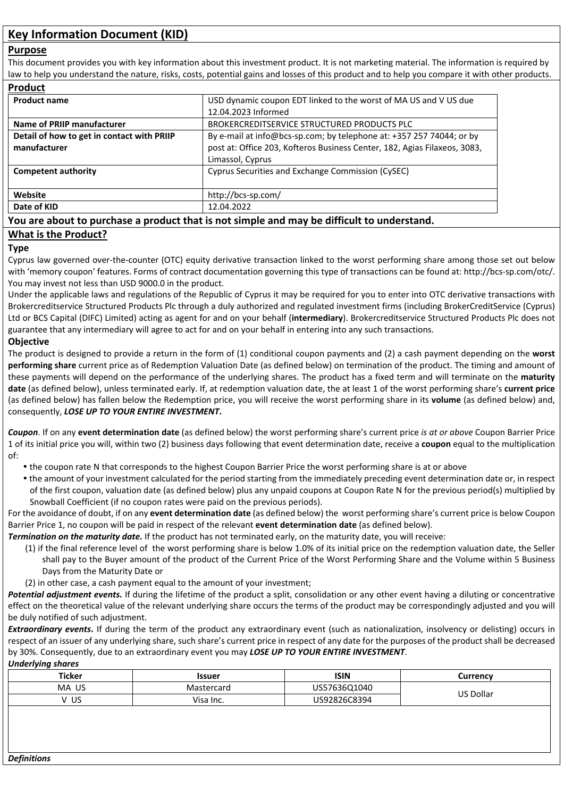## **Purpose**

This document provides you with key information about this investment product. It is not marketing material. The information is required by law to help you understand the nature, risks, costs, potential gains and losses of this product and to help you compare it with other products.

| <b>Product</b>                             |                                                                           |
|--------------------------------------------|---------------------------------------------------------------------------|
| <b>Product name</b>                        | USD dynamic coupon EDT linked to the worst of MA US and V US due          |
|                                            | 12.04.2023 Informed                                                       |
| Name of PRIIP manufacturer                 | BROKERCREDITSERVICE STRUCTURED PRODUCTS PLC                               |
| Detail of how to get in contact with PRIIP | By e-mail at info@bcs-sp.com; by telephone at: +357 257 74044; or by      |
| manufacturer                               | post at: Office 203, Kofteros Business Center, 182, Agias Filaxeos, 3083, |
|                                            | Limassol, Cyprus                                                          |
| <b>Competent authority</b>                 | Cyprus Securities and Exchange Commission (CySEC)                         |
| Website                                    | http://bcs-sp.com/                                                        |
| Date of KID                                | 12.04.2022                                                                |

# **You are about to purchase a product that is not simple and may be difficult to understand.**

# **What is the Product?**

## **Type**

Cyprus law governed over-the-counter (OTC) equity derivative transaction linked to the worst performing share among those set out below with 'memory coupon' features. Forms of contract documentation governing this type of transactions can be found at: http://bcs-sp.com/otc/. You may invest not less than USD 9000.0 in the product.

Under the applicable laws and regulations of the Republic of Cyprus it may be required for you to enter into OTC derivative transactions with Brokercreditservice Structured Products Plc through a duly authorized and regulated investment firms (including BrokerCreditService (Cyprus) Ltd or BCS Capital (DIFC) Limited) acting as agent for and on your behalf (**intermediary**). Brokercreditservice Structured Products Plc does not guarantee that any intermediary will agree to act for and on your behalf in entering into any such transactions.

# **Objective**

The product is designed to provide a return in the form of (1) conditional coupon payments and (2) a cash payment depending on the **worst performing share** current price as of Redemption Valuation Date (as defined below) on termination of the product. The timing and amount of these payments will depend on the performance of the underlying shares. The product has a fixed term and will terminate on the **maturity date** (as defined below), unless terminated early. If, at redemption valuation date, the at least 1 of the worst performing share's **current price** (as defined below) has fallen below the Redemption price, you will receive the worst performing share in its **volume** (as defined below) and, consequently, *LOSE UP TO YOUR ENTIRE INVESTMENT***.** 

*Coupon*. If on any **event determination date** (as defined below) the worst performing share's current price *is at or above* Coupon Barrier Price 1 of its initial price you will, within two (2) business days following that event determination date, receive a **coupon** equal to the multiplication of:

- the coupon rate N that corresponds to the highest Coupon Barrier Price the worst performing share is at or above
- the amount of your investment calculated for the period starting from the immediately preceding event determination date or, in respect of the first coupon, valuation date (as defined below) plus any unpaid coupons at Coupon Rate N for the previous period(s) multiplied by Snowball Coefficient (if no coupon rates were paid on the previous periods).

For the avoidance of doubt, if on any **event determination date** (as defined below) the worst performing share's current price is below Coupon Barrier Price 1, no coupon will be paid in respect of the relevant **event determination date** (as defined below).

*Termination on the maturity date.* If the product has not terminated early, on the maturity date, you will receive:

- (1) if the final reference level of the worst performing share is below 1.0% of its initial price on the redemption valuation date, the Seller shall pay to the Buyer amount of the product of the Current Price of the Worst Performing Share and the Volume within 5 Business Days from the Maturity Date or
- (2) in other case, a cash payment equal to the amount of your investment;
- *Potential adjustment events.* If during the lifetime of the product a split, consolidation or any other event having a diluting or concentrative effect on the theoretical value of the relevant underlying share occurs the terms of the product may be correspondingly adjusted and you will be duly notified of such adjustment.

**Extraordinary events.** If during the term of the product any extraordinary event (such as nationalization, insolvency or delisting) occurs in respect of an issuer of any underlying share, such share's current price in respect of any date for the purposes of the product shall be decreased by 30%. Consequently, due to an extraordinary event you may *LOSE UP TO YOUR ENTIRE INVESTMENT*. *Underlying shares*

| <b>Ticker</b> | Issuer     | <b>ISIN</b>  | Currency         |
|---------------|------------|--------------|------------------|
| MA US         | Mastercard | US57636Q1040 | <b>US Dollar</b> |
| v us          | Visa Inc.  | US92826C8394 |                  |
|               |            |              |                  |
|               |            |              |                  |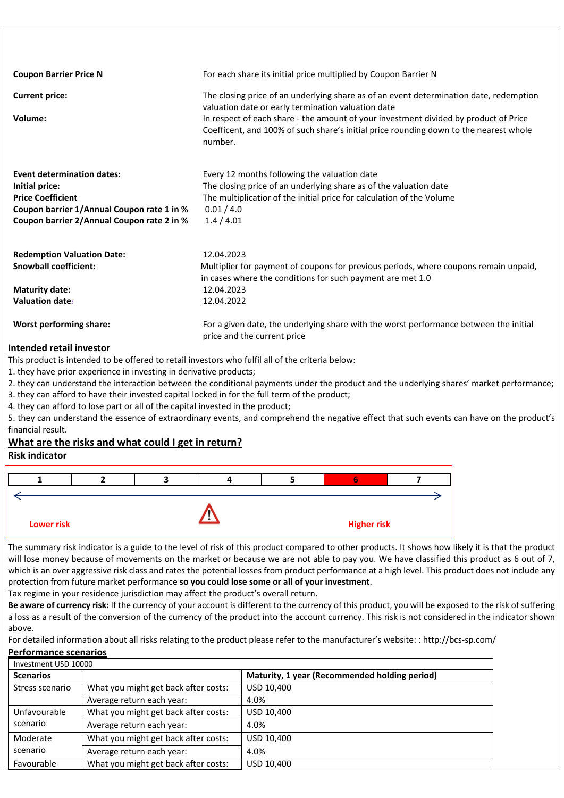| <b>Coupon Barrier Price N</b>              | For each share its initial price multiplied by Coupon Barrier N                                                                                                                          |
|--------------------------------------------|------------------------------------------------------------------------------------------------------------------------------------------------------------------------------------------|
| <b>Current price:</b>                      | The closing price of an underlying share as of an event determination date, redemption<br>valuation date or early termination valuation date                                             |
| Volume:                                    | In respect of each share - the amount of your investment divided by product of Price<br>Coefficent, and 100% of such share's initial price rounding down to the nearest whole<br>number. |
| <b>Event determination dates:</b>          | Every 12 months following the valuation date                                                                                                                                             |
| Initial price:                             | The closing price of an underlying share as of the valuation date                                                                                                                        |
| <b>Price Coefficient</b>                   | The multiplicatior of the initial price for calculation of the Volume                                                                                                                    |
| Coupon barrier 1/Annual Coupon rate 1 in % | 0.01 / 4.0                                                                                                                                                                               |
| Coupon barrier 2/Annual Coupon rate 2 in % | 1.4/4.01                                                                                                                                                                                 |
| <b>Redemption Valuation Date:</b>          | 12.04.2023                                                                                                                                                                               |
| <b>Snowball coefficient:</b>               | Multiplier for payment of coupons for previous periods, where coupons remain unpaid,<br>in cases where the conditions for such payment are met 1.0                                       |
| <b>Maturity date:</b>                      | 12.04.2023                                                                                                                                                                               |
| Valuation date:                            | 12.04.2022                                                                                                                                                                               |
| Worst performing share:                    | For a given date, the underlying share with the worst performance between the initial<br>price and the current price                                                                     |
| .                                          |                                                                                                                                                                                          |

## **Intended retail investor**

This product is intended to be offered to retail investors who fulfil all of the criteria below:

1. they have prior experience in investing in derivative products;

2. they can understand the interaction between the conditional payments under the product and the underlying shares' market performance;

3. they can afford to have their invested capital locked in for the full term of the product;

4. they can afford to lose part or all of the capital invested in the product;

5. they can understand the essence of extraordinary events, and comprehend the negative effect that such events can have on the product's financial result.

#### **What are the risks and what could I get in return? Risk indicator**



The summary risk indicator is a guide to the level of risk of this product compared to other products. It shows how likely it is that the product will lose money because of movements on the market or because we are not able to pay you. We have classified this product as 6 out of 7, which is an over aggressive risk class and rates the potential losses from product performance at a high level. This product does not include any protection from future market performance **so you could lose some or all of your investment**.

Tax regime in your residence jurisdiction may affect the product's overall return.

**Be aware of currency risk:** If the currency of your account is different to the currency of this product, you will be exposed to the risk of suffering a loss as a result of the conversion of the currency of the product into the account currency. This risk is not considered in the indicator shown above.

For detailed information about all risks relating to the product please refer to the manufacturer's website: : http://bcs-sp.com/ **Performance scenarios**

| Investment USD 10000 |                                      |                                               |
|----------------------|--------------------------------------|-----------------------------------------------|
| <b>Scenarios</b>     |                                      | Maturity, 1 year (Recommended holding period) |
| Stress scenario      | What you might get back after costs: | USD 10,400                                    |
|                      | Average return each year:            | 4.0%                                          |
| Unfavourable         | What you might get back after costs: | USD 10,400                                    |
| scenario             | Average return each year:            | 4.0%                                          |
| Moderate             | What you might get back after costs: | USD 10,400                                    |
| scenario             | Average return each year:            | 4.0%                                          |
| Favourable           | What you might get back after costs: | USD 10,400                                    |